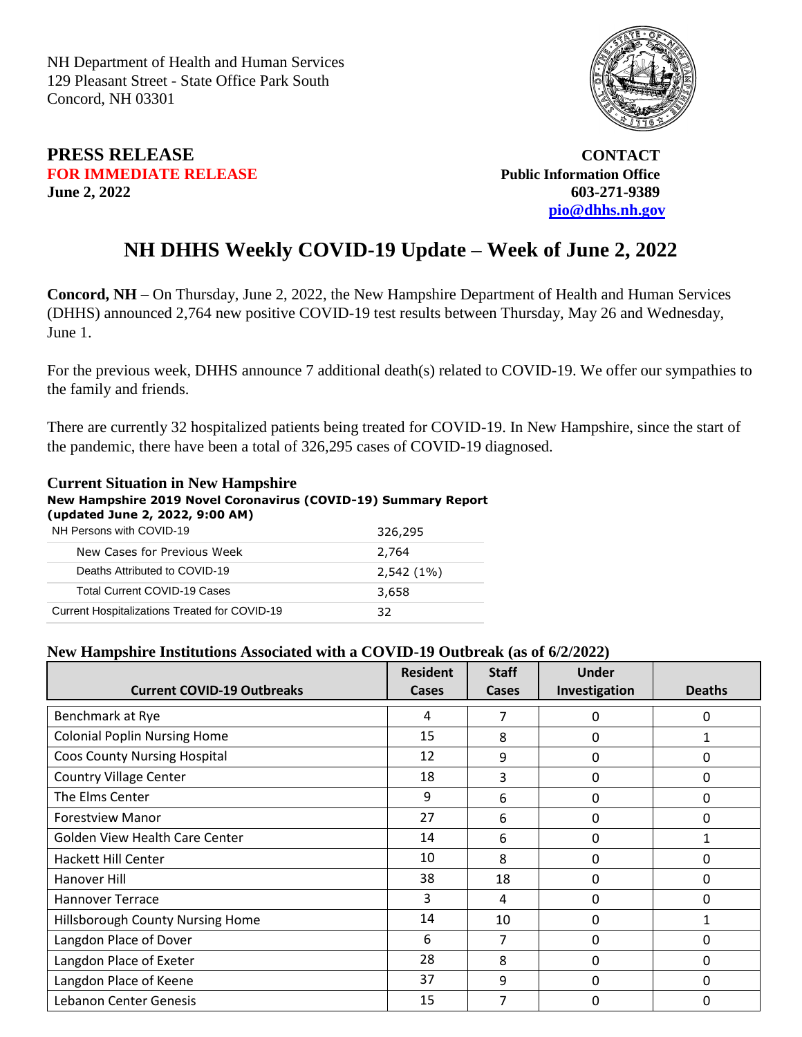NH Department of Health and Human Services 129 Pleasant Street - State Office Park South Concord, NH 03301



## **PRESS RELEASE CONTACT FOR IMMEDIATE RELEASE** *Public Information Office* **June 2, 2022 603-271-9389**

 **[pio@dhhs.nh.gov](file:///C:/Users/laura.m.montenegro/Desktop/COVID%2019%20Daily%20Press%20Releases/pio@dhhs.nh.gov)**

## **NH DHHS Weekly COVID-19 Update – Week of June 2, 2022**

**Concord, NH** – On Thursday, June 2, 2022, the New Hampshire Department of Health and Human Services (DHHS) announced 2,764 new positive COVID-19 test results between Thursday, May 26 and Wednesday, June 1.

For the previous week, DHHS announce 7 additional death(s) related to COVID-19. We offer our sympathies to the family and friends.

There are currently 32 hospitalized patients being treated for COVID-19. In New Hampshire, since the start of the pandemic, there have been a total of 326,295 cases of COVID-19 diagnosed.

## **Current Situation in New Hampshire New Hampshire 2019 Novel Coronavirus (COVID-19) Summary Report (updated June 2, 2022, 9:00 AM)**

| NH Persons with COVID-19                      | 326,295      |
|-----------------------------------------------|--------------|
| New Cases for Previous Week                   | 2,764        |
| Deaths Attributed to COVID-19                 | $2,542(1\%)$ |
| Total Current COVID-19 Cases                  | 3,658        |
| Current Hospitalizations Treated for COVID-19 | 37           |

## **New Hampshire Institutions Associated with a COVID-19 Outbreak (as of 6/2/2022)**

| <b>Current COVID-19 Outbreaks</b>   | <b>Resident</b><br>Cases | <b>Staff</b><br>Cases | Under<br>Investigation | <b>Deaths</b> |
|-------------------------------------|--------------------------|-----------------------|------------------------|---------------|
| Benchmark at Rye                    | 4                        | 7                     | 0                      | 0             |
|                                     |                          |                       |                        |               |
| <b>Colonial Poplin Nursing Home</b> | 15                       | 8                     | 0                      |               |
| <b>Coos County Nursing Hospital</b> | 12                       | 9                     | 0                      | 0             |
| <b>Country Village Center</b>       | 18                       | 3                     | 0                      | $\Omega$      |
| The Elms Center                     | 9                        | 6                     | 0                      | 0             |
| <b>Forestview Manor</b>             | 27                       | 6                     | 0                      | 0             |
| Golden View Health Care Center      | 14                       | 6                     | 0                      |               |
| <b>Hackett Hill Center</b>          | 10                       | 8                     | 0                      | 0             |
| Hanover Hill                        | 38                       | 18                    | 0                      | 0             |
| <b>Hannover Terrace</b>             | 3                        | 4                     | 0                      | $\Omega$      |
| Hillsborough County Nursing Home    | 14                       | 10                    | 0                      |               |
| Langdon Place of Dover              | 6                        | 7                     | 0                      | 0             |
| Langdon Place of Exeter             | 28                       | 8                     | 0                      | 0             |
| Langdon Place of Keene              | 37                       | 9                     | O                      | $\Omega$      |
| Lebanon Center Genesis              | 15                       | 7                     | O                      | ი             |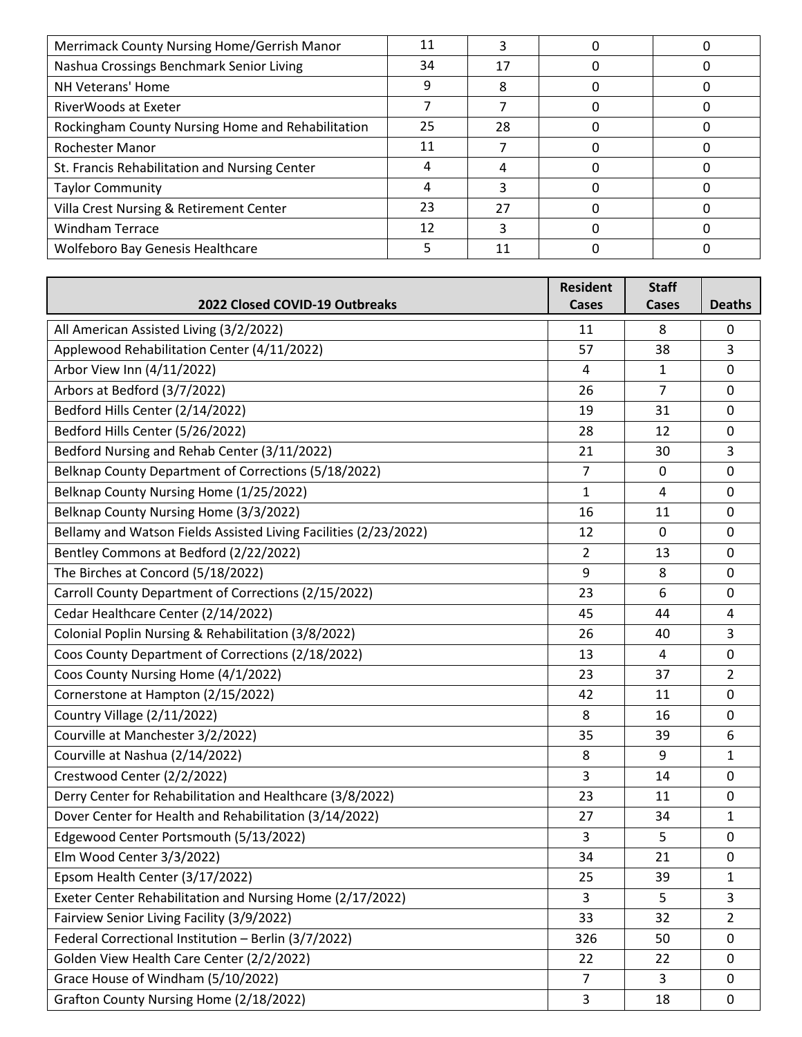| Merrimack County Nursing Home/Gerrish Manor       |    |    |  |
|---------------------------------------------------|----|----|--|
| Nashua Crossings Benchmark Senior Living          | 34 | 17 |  |
| NH Veterans' Home                                 | q  |    |  |
| RiverWoods at Exeter                              |    |    |  |
| Rockingham County Nursing Home and Rehabilitation | 25 | 28 |  |
| Rochester Manor                                   | 11 |    |  |
| St. Francis Rehabilitation and Nursing Center     |    |    |  |
| <b>Taylor Community</b>                           |    |    |  |
| Villa Crest Nursing & Retirement Center           | 23 | 27 |  |
| <b>Windham Terrace</b>                            | 12 | ੨  |  |
| Wolfeboro Bay Genesis Healthcare                  |    |    |  |

|                                                                  | <b>Resident</b>         | <b>Staff</b>   |                |
|------------------------------------------------------------------|-------------------------|----------------|----------------|
| 2022 Closed COVID-19 Outbreaks                                   | Cases                   | <b>Cases</b>   | <b>Deaths</b>  |
| All American Assisted Living (3/2/2022)                          | 11                      | 8              | 0              |
| Applewood Rehabilitation Center (4/11/2022)                      | 57                      | 38             | 3              |
| Arbor View Inn (4/11/2022)                                       | 4                       | $\mathbf{1}$   | $\mathbf 0$    |
| Arbors at Bedford (3/7/2022)                                     | 26                      | $\overline{7}$ | $\mathbf 0$    |
| Bedford Hills Center (2/14/2022)                                 | 19                      | 31             | 0              |
| Bedford Hills Center (5/26/2022)                                 | 28                      | 12             | $\mathbf 0$    |
| Bedford Nursing and Rehab Center (3/11/2022)                     | 21                      | 30             | 3              |
| Belknap County Department of Corrections (5/18/2022)             | $\overline{7}$          | $\mathbf 0$    | 0              |
| Belknap County Nursing Home (1/25/2022)                          | 1                       | 4              | 0              |
| Belknap County Nursing Home (3/3/2022)                           | 16                      | 11             | $\mathbf 0$    |
| Bellamy and Watson Fields Assisted Living Facilities (2/23/2022) | 12                      | 0              | 0              |
| Bentley Commons at Bedford (2/22/2022)                           | $\overline{2}$          | 13             | 0              |
| The Birches at Concord (5/18/2022)                               | 9                       | 8              | $\mathbf 0$    |
| Carroll County Department of Corrections (2/15/2022)             | 23                      | 6              | $\mathbf 0$    |
| Cedar Healthcare Center (2/14/2022)                              | 45                      | 44             | 4              |
| Colonial Poplin Nursing & Rehabilitation (3/8/2022)              | 26                      | 40             | 3              |
| Coos County Department of Corrections (2/18/2022)                | 13                      | 4              | 0              |
| Coos County Nursing Home (4/1/2022)                              | 23                      | 37             | $\overline{2}$ |
| Cornerstone at Hampton (2/15/2022)                               | 42                      | 11             | $\mathbf 0$    |
| Country Village (2/11/2022)                                      | 8                       | 16             | $\mathbf 0$    |
| Courville at Manchester 3/2/2022)                                | 35                      | 39             | 6              |
| Courville at Nashua (2/14/2022)                                  | 8                       | 9              | $\mathbf{1}$   |
| Crestwood Center (2/2/2022)                                      | 3                       | 14             | 0              |
| Derry Center for Rehabilitation and Healthcare (3/8/2022)        | 23                      | 11             | 0              |
| Dover Center for Health and Rehabilitation (3/14/2022)           | 27                      | 34             | $\mathbf{1}$   |
| Edgewood Center Portsmouth (5/13/2022)                           | 3                       | 5              | $\mathbf 0$    |
| Elm Wood Center 3/3/2022)                                        | 34                      | 21             | $\mathbf 0$    |
| Epsom Health Center (3/17/2022)                                  | 25                      | 39             | 1              |
| Exeter Center Rehabilitation and Nursing Home (2/17/2022)        | 3                       | 5              | 3              |
| Fairview Senior Living Facility (3/9/2022)                       | 33                      | 32             | $\overline{2}$ |
| Federal Correctional Institution - Berlin (3/7/2022)             | 326                     | 50             | 0              |
| Golden View Health Care Center (2/2/2022)                        | 22                      | 22             | $\mathbf 0$    |
| Grace House of Windham (5/10/2022)                               | $\overline{7}$          | 3              | 0              |
| Grafton County Nursing Home (2/18/2022)                          | $\overline{\mathbf{3}}$ | 18             | $\mathbf 0$    |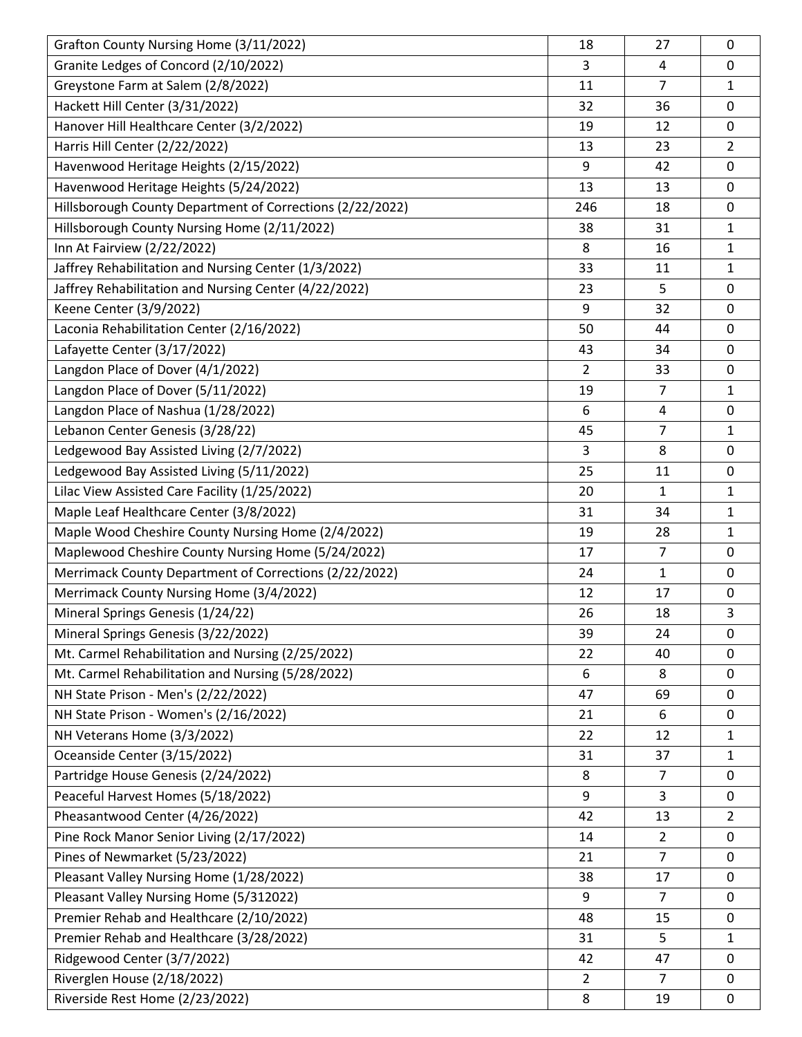| Grafton County Nursing Home (3/11/2022)                   | 18             | 27             | 0              |
|-----------------------------------------------------------|----------------|----------------|----------------|
| Granite Ledges of Concord (2/10/2022)                     | 3              | 4              | 0              |
| Greystone Farm at Salem (2/8/2022)                        | 11             | 7              | 1              |
| Hackett Hill Center (3/31/2022)                           | 32             | 36             | 0              |
| Hanover Hill Healthcare Center (3/2/2022)                 | 19             | 12             | 0              |
| Harris Hill Center (2/22/2022)                            | 13             | 23             | $\overline{2}$ |
| Havenwood Heritage Heights (2/15/2022)                    | 9              | 42             | 0              |
| Havenwood Heritage Heights (5/24/2022)                    | 13             | 13             | 0              |
| Hillsborough County Department of Corrections (2/22/2022) | 246            | 18             | 0              |
| Hillsborough County Nursing Home (2/11/2022)              | 38             | 31             | $\mathbf{1}$   |
| Inn At Fairview (2/22/2022)                               | 8              | 16             | 1              |
| Jaffrey Rehabilitation and Nursing Center (1/3/2022)      | 33             | 11             | $\mathbf{1}$   |
| Jaffrey Rehabilitation and Nursing Center (4/22/2022)     | 23             | 5              | 0              |
| Keene Center (3/9/2022)                                   | 9              | 32             | 0              |
| Laconia Rehabilitation Center (2/16/2022)                 | 50             | 44             | 0              |
| Lafayette Center (3/17/2022)                              | 43             | 34             | 0              |
| Langdon Place of Dover (4/1/2022)                         | $\overline{2}$ | 33             | 0              |
| Langdon Place of Dover (5/11/2022)                        | 19             | $\overline{7}$ | 1              |
| Langdon Place of Nashua (1/28/2022)                       | 6              | 4              | 0              |
| Lebanon Center Genesis (3/28/22)                          | 45             | $\overline{7}$ | 1              |
| Ledgewood Bay Assisted Living (2/7/2022)                  | 3              | 8              | 0              |
| Ledgewood Bay Assisted Living (5/11/2022)                 | 25             | 11             | 0              |
| Lilac View Assisted Care Facility (1/25/2022)             | 20             | 1              | 1              |
| Maple Leaf Healthcare Center (3/8/2022)                   | 31             | 34             | $\mathbf{1}$   |
| Maple Wood Cheshire County Nursing Home (2/4/2022)        | 19             | 28             | $\mathbf{1}$   |
| Maplewood Cheshire County Nursing Home (5/24/2022)        | 17             | $\overline{7}$ | 0              |
| Merrimack County Department of Corrections (2/22/2022)    | 24             | 1              | 0              |
| Merrimack County Nursing Home (3/4/2022)                  | 12             | 17             | 0              |
| Mineral Springs Genesis (1/24/22)                         | 26             | 18             | 3              |
| Mineral Springs Genesis (3/22/2022)                       | 39             | 24             | 0              |
| Mt. Carmel Rehabilitation and Nursing (2/25/2022)         | 22             | 40             | 0              |
| Mt. Carmel Rehabilitation and Nursing (5/28/2022)         | 6              | 8              | $\mathbf 0$    |
| NH State Prison - Men's (2/22/2022)                       | 47             | 69             | 0              |
| NH State Prison - Women's (2/16/2022)                     | 21             | 6              | 0              |
| NH Veterans Home (3/3/2022)                               | 22             | 12             | 1              |
| Oceanside Center (3/15/2022)                              | 31             | 37             | $\mathbf{1}$   |
| Partridge House Genesis (2/24/2022)                       | 8              | 7              | 0              |
| Peaceful Harvest Homes (5/18/2022)                        | 9              | 3              | 0              |
| Pheasantwood Center (4/26/2022)                           | 42             | 13             | $\overline{2}$ |
| Pine Rock Manor Senior Living (2/17/2022)                 | 14             | $\overline{2}$ | 0              |
| Pines of Newmarket (5/23/2022)                            | 21             | $\overline{7}$ | 0              |
| Pleasant Valley Nursing Home (1/28/2022)                  | 38             | 17             | 0              |
| Pleasant Valley Nursing Home (5/312022)                   | 9              | $\overline{7}$ | 0              |
| Premier Rehab and Healthcare (2/10/2022)                  | 48             | 15             | 0              |
| Premier Rehab and Healthcare (3/28/2022)                  | 31             | 5              | $\mathbf{1}$   |
| Ridgewood Center (3/7/2022)                               | 42             | 47             | 0              |
| Riverglen House (2/18/2022)                               | $\overline{2}$ | 7              | 0              |
| Riverside Rest Home (2/23/2022)                           | 8              | 19             | 0              |